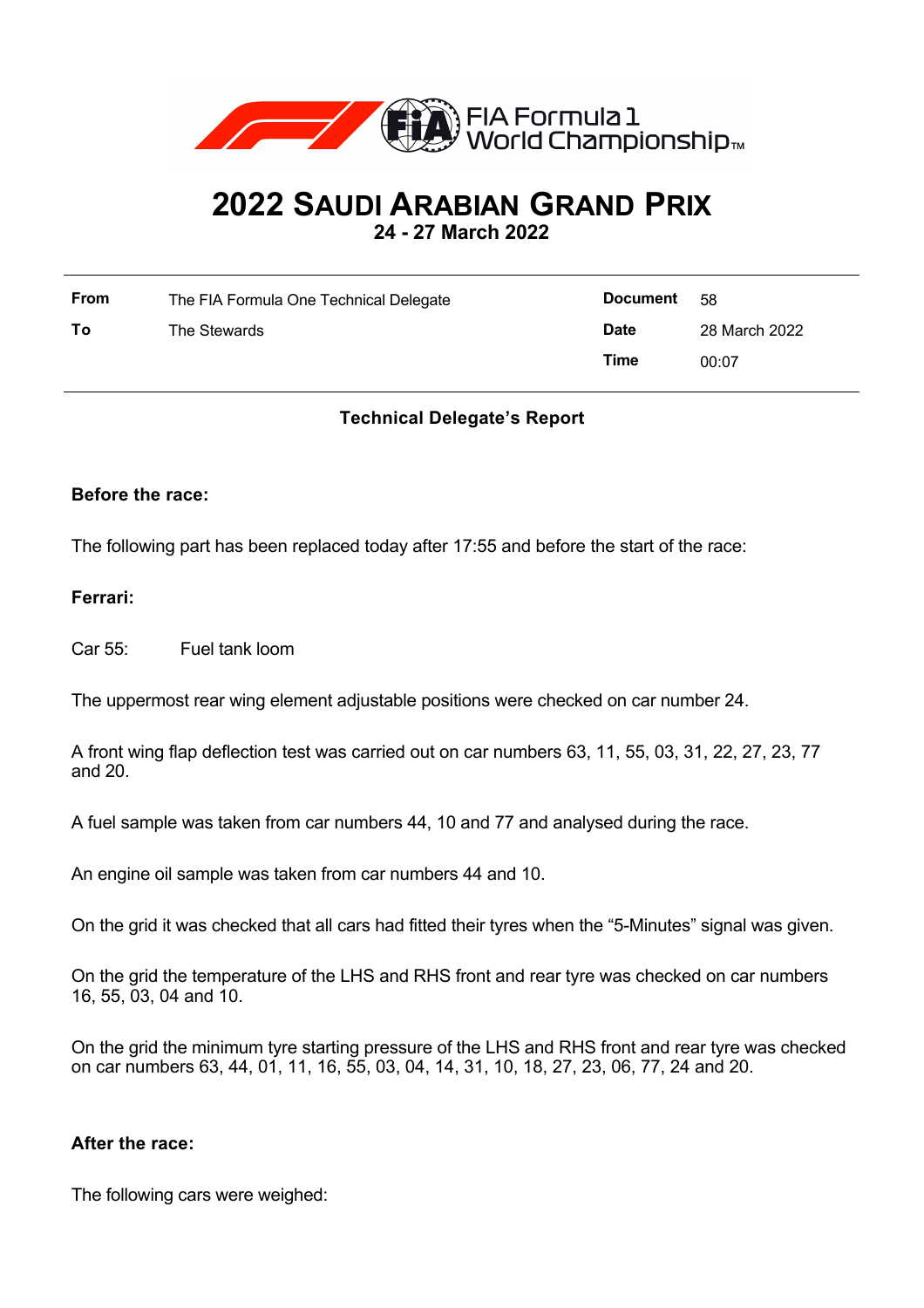

# **2022 SAUDI ARABIAN GRAND PRIX**

**24 - 27 March 2022**

| From | The FIA Formula One Technical Delegate | <b>Document</b> | - 58          |
|------|----------------------------------------|-----------------|---------------|
| То   | The Stewards                           | <b>Date</b>     | 28 March 2022 |
|      |                                        | Time            | 00:07         |

## **Technical Delegate's Report**

### **Before the race:**

The following part has been replaced today after 17:55 and before the start of the race:

### **Ferrari:**

Car 55: Fuel tank loom

The uppermost rear wing element adjustable positions were checked on car number 24.

A front wing flap deflection test was carried out on car numbers 63, 11, 55, 03, 31, 22, 27, 23, 77 and 20.

A fuel sample was taken from car numbers 44, 10 and 77 and analysed during the race.

An engine oil sample was taken from car numbers 44 and 10.

On the grid it was checked that all cars had fitted their tyres when the "5-Minutes" signal was given.

On the grid the temperature of the LHS and RHS front and rear tyre was checked on car numbers 16, 55, 03, 04 and 10.

On the grid the minimum tyre starting pressure of the LHS and RHS front and rear tyre was checked on car numbers 63, 44, 01, 11, 16, 55, 03, 04, 14, 31, 10, 18, 27, 23, 06, 77, 24 and 20.

#### **After the race:**

The following cars were weighed: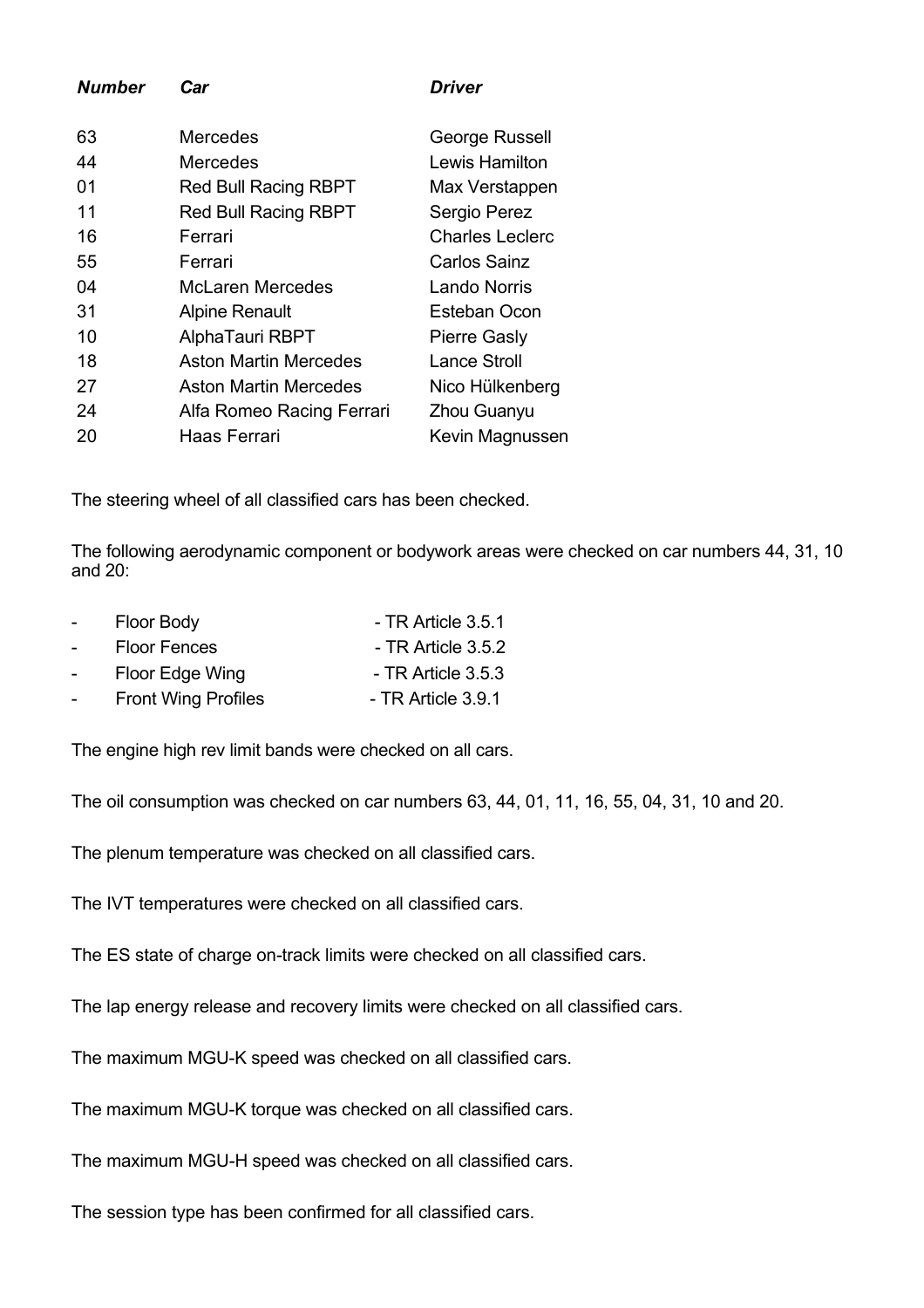| <b>Number</b> | Car                          | Driver                 |
|---------------|------------------------------|------------------------|
| 63            | Mercedes                     | George Russell         |
| 44            | Mercedes                     | Lewis Hamilton         |
| 01            | <b>Red Bull Racing RBPT</b>  | Max Verstappen         |
| 11            | <b>Red Bull Racing RBPT</b>  | Sergio Perez           |
| 16            | Ferrari                      | <b>Charles Leclerc</b> |
| 55            | Ferrari                      | Carlos Sainz           |
| 04            | <b>McLaren Mercedes</b>      | Lando Norris           |
| 31            | <b>Alpine Renault</b>        | Esteban Ocon           |
| 10            | AlphaTauri RBPT              | <b>Pierre Gasly</b>    |
| 18            | <b>Aston Martin Mercedes</b> | <b>Lance Stroll</b>    |
| 27            | Aston Martin Mercedes        | Nico Hülkenberg        |
| 24            | Alfa Romeo Racing Ferrari    | Zhou Guanyu            |
| 20            | Haas Ferrari                 | Kevin Magnussen        |

The steering wheel of all classified cars has been checked.

The following aerodynamic component or bodywork areas were checked on car numbers 44, 31, 10 and 20:

| $\sim$          | Floor Body                 | - TR Article 3.5.1   |
|-----------------|----------------------------|----------------------|
| $\sim$          | <b>Floor Fences</b>        | - TR Article $3.5.2$ |
| $\sim$ 10 $\pm$ | Floor Edge Wing            | - TR Article $3.5.3$ |
| $\sim$          | <b>Front Wing Profiles</b> | - TR Article 3.9.1   |

The engine high rev limit bands were checked on all cars.

The oil consumption was checked on car numbers 63, 44, 01, 11, 16, 55, 04, 31, 10 and 20.

The plenum temperature was checked on all classified cars.

The IVT temperatures were checked on all classified cars.

The ES state of charge on-track limits were checked on all classified cars.

The lap energy release and recovery limits were checked on all classified cars.

The maximum MGU-K speed was checked on all classified cars.

The maximum MGU-K torque was checked on all classified cars.

The maximum MGU-H speed was checked on all classified cars.

The session type has been confirmed for all classified cars.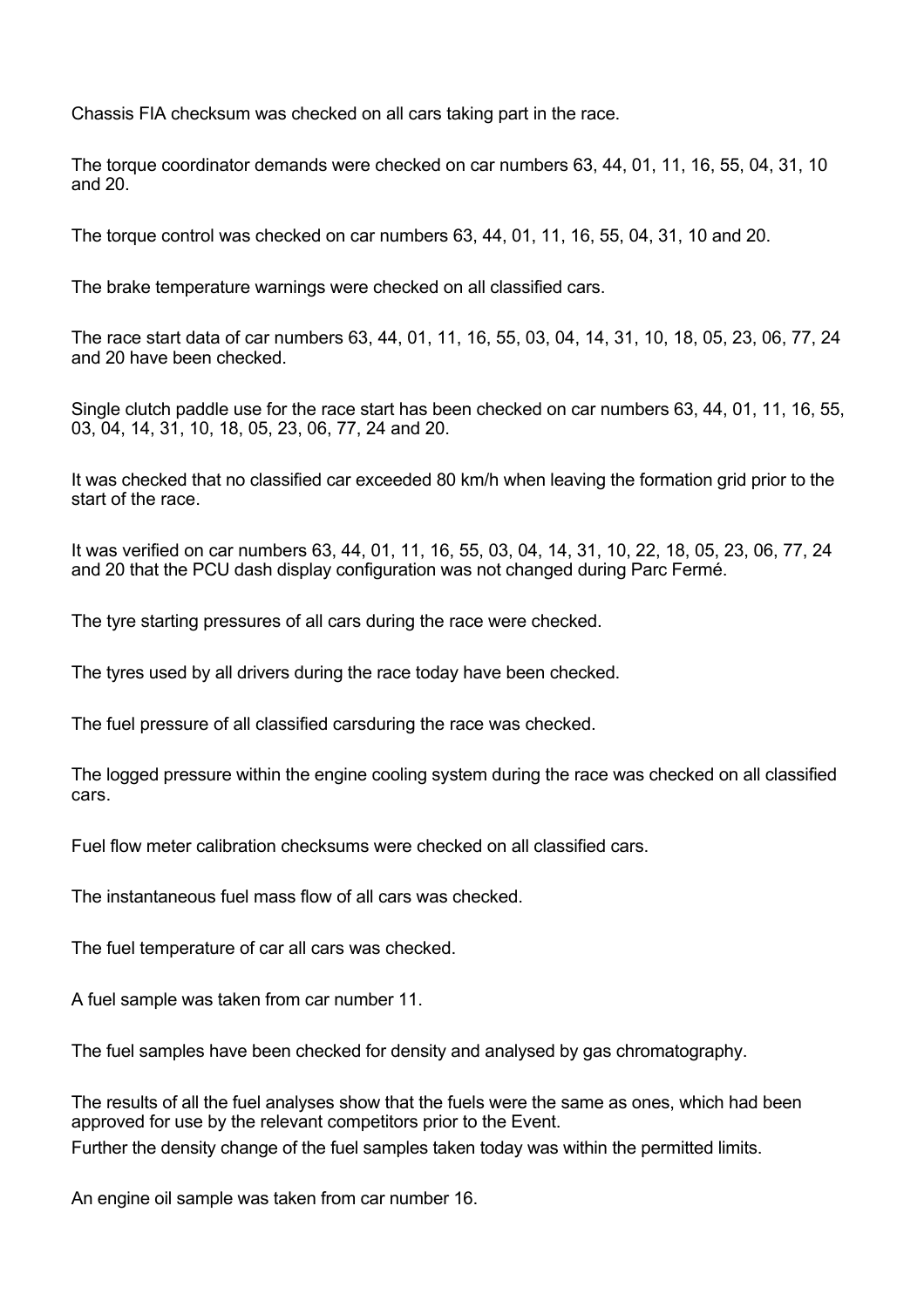Chassis FIA checksum was checked on all cars taking part in the race.

The torque coordinator demands were checked on car numbers 63, 44, 01, 11, 16, 55, 04, 31, 10 and 20.

The torque control was checked on car numbers 63, 44, 01, 11, 16, 55, 04, 31, 10 and 20.

The brake temperature warnings were checked on all classified cars.

The race start data of car numbers 63, 44, 01, 11, 16, 55, 03, 04, 14, 31, 10, 18, 05, 23, 06, 77, 24 and 20 have been checked.

Single clutch paddle use for the race start has been checked on car numbers 63, 44, 01, 11, 16, 55, 03, 04, 14, 31, 10, 18, 05, 23, 06, 77, 24 and 20.

It was checked that no classified car exceeded 80 km/h when leaving the formation grid prior to the start of the race.

It was verified on car numbers 63, 44, 01, 11, 16, 55, 03, 04, 14, 31, 10, 22, 18, 05, 23, 06, 77, 24 and 20 that the PCU dash display configuration was not changed during Parc Fermé.

The tyre starting pressures of all cars during the race were checked.

The tyres used by all drivers during the race today have been checked.

The fuel pressure of all classified carsduring the race was checked.

The logged pressure within the engine cooling system during the race was checked on all classified cars.

Fuel flow meter calibration checksums were checked on all classified cars.

The instantaneous fuel mass flow of all cars was checked.

The fuel temperature of car all cars was checked.

A fuel sample was taken from car number 11.

The fuel samples have been checked for density and analysed by gas chromatography.

The results of all the fuel analyses show that the fuels were the same as ones, which had been approved for use by the relevant competitors prior to the Event.

Further the density change of the fuel samples taken today was within the permitted limits.

An engine oil sample was taken from car number 16.